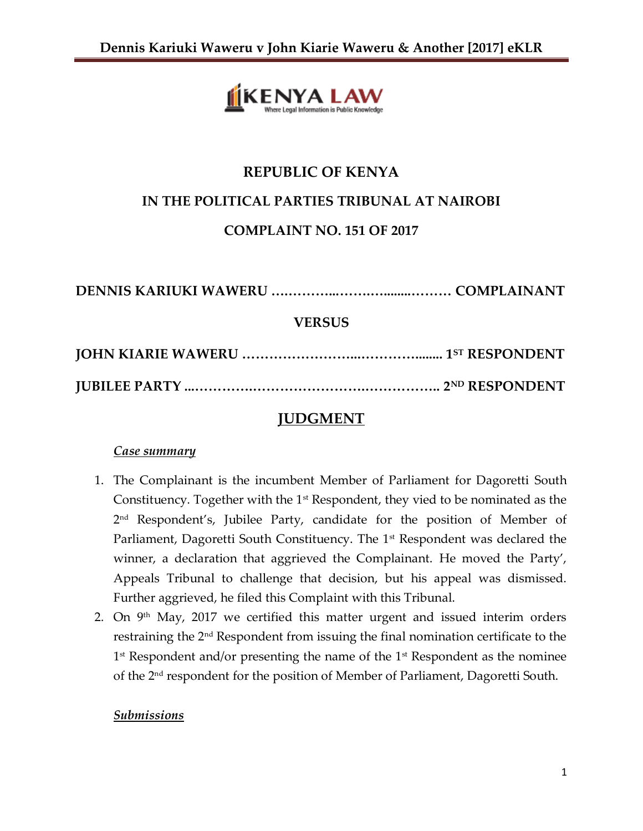

# **REPUBLIC OF KENYA IN THE POLITICAL PARTIES TRIBUNAL AT NAIROBI COMPLAINT NO. 151 OF 2017**

**DENNIS KARIUKI WAWERU ….………...…….…........……… COMPLAINANT VERSUS**

**JOHN KIARIE WAWERU ……………………...…………........ 1ST RESPONDENT JUBILEE PARTY ...………….…………………….…………….. 2ND RESPONDENT**

## **JUDGMENT**

### *Case summary*

- 1. The Complainant is the incumbent Member of Parliament for Dagoretti South Constituency. Together with the 1<sup>st</sup> Respondent, they vied to be nominated as the 2 nd Respondent's, Jubilee Party, candidate for the position of Member of Parliament, Dagoretti South Constituency. The 1<sup>st</sup> Respondent was declared the winner, a declaration that aggrieved the Complainant. He moved the Party', Appeals Tribunal to challenge that decision, but his appeal was dismissed. Further aggrieved, he filed this Complaint with this Tribunal.
- 2. On  $9<sup>th</sup>$  May, 2017 we certified this matter urgent and issued interim orders restraining the 2nd Respondent from issuing the final nomination certificate to the 1<sup>st</sup> Respondent and/or presenting the name of the 1<sup>st</sup> Respondent as the nominee of the 2nd respondent for the position of Member of Parliament, Dagoretti South.

### *Submissions*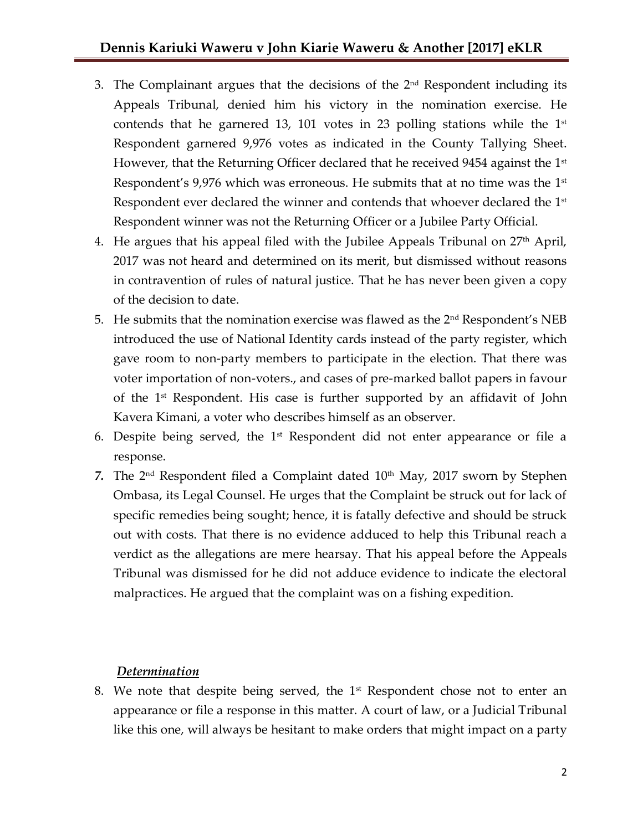- 3. The Complainant argues that the decisions of the  $2<sup>nd</sup>$  Respondent including its Appeals Tribunal, denied him his victory in the nomination exercise. He contends that he garnered 13, 101 votes in 23 polling stations while the  $1^{st}$ Respondent garnered 9,976 votes as indicated in the County Tallying Sheet. However, that the Returning Officer declared that he received 9454 against the  $1<sup>st</sup>$ Respondent's 9,976 which was erroneous. He submits that at no time was the  $1<sup>st</sup>$ Respondent ever declared the winner and contends that whoever declared the  $1<sup>st</sup>$ Respondent winner was not the Returning Officer or a Jubilee Party Official.
- 4. He argues that his appeal filed with the Jubilee Appeals Tribunal on  $27<sup>th</sup>$  April, 2017 was not heard and determined on its merit, but dismissed without reasons in contravention of rules of natural justice. That he has never been given a copy of the decision to date.
- 5. He submits that the nomination exercise was flawed as the  $2<sup>nd</sup>$  Respondent's NEB introduced the use of National Identity cards instead of the party register, which gave room to non-party members to participate in the election. That there was voter importation of non-voters., and cases of pre-marked ballot papers in favour of the  $1<sup>st</sup>$  Respondent. His case is further supported by an affidavit of John Kavera Kimani, a voter who describes himself as an observer.
- 6. Despite being served, the  $1<sup>st</sup>$  Respondent did not enter appearance or file a response.
- 7. The 2<sup>nd</sup> Respondent filed a Complaint dated 10<sup>th</sup> May, 2017 sworn by Stephen Ombasa, its Legal Counsel. He urges that the Complaint be struck out for lack of specific remedies being sought; hence, it is fatally defective and should be struck out with costs. That there is no evidence adduced to help this Tribunal reach a verdict as the allegations are mere hearsay. That his appeal before the Appeals Tribunal was dismissed for he did not adduce evidence to indicate the electoral malpractices. He argued that the complaint was on a fishing expedition.

#### *Determination*

8. We note that despite being served, the  $1<sup>st</sup>$  Respondent chose not to enter an appearance or file a response in this matter. A court of law, or a Judicial Tribunal like this one, will always be hesitant to make orders that might impact on a party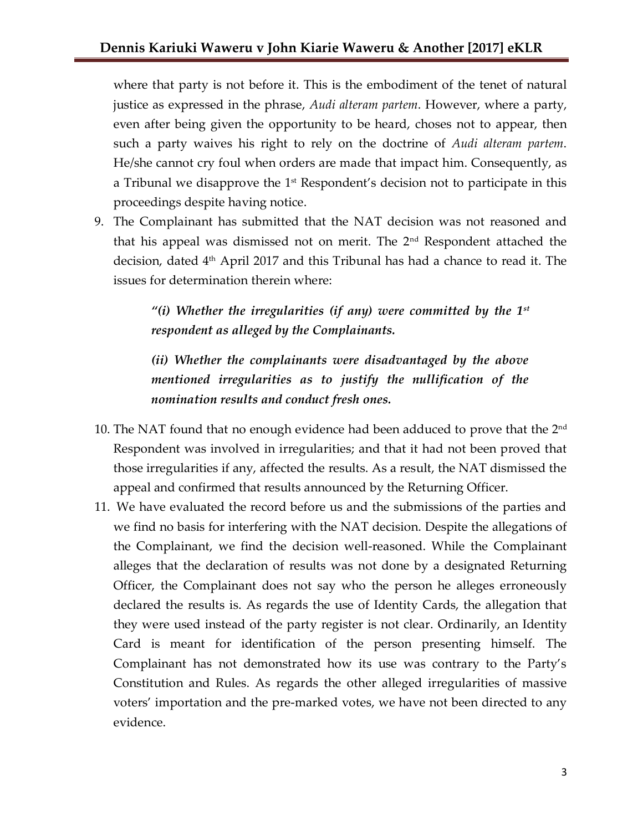where that party is not before it. This is the embodiment of the tenet of natural justice as expressed in the phrase, *Audi alteram partem*. However, where a party, even after being given the opportunity to be heard, choses not to appear, then such a party waives his right to rely on the doctrine of *Audi alteram partem*. He/she cannot cry foul when orders are made that impact him. Consequently, as a Tribunal we disapprove the  $1<sup>st</sup>$  Respondent's decision not to participate in this proceedings despite having notice.

9. The Complainant has submitted that the NAT decision was not reasoned and that his appeal was dismissed not on merit. The  $2<sup>nd</sup>$  Respondent attached the decision, dated 4th April 2017 and this Tribunal has had a chance to read it. The issues for determination therein where:

> *"(i) Whether the irregularities (if any) were committed by the 1st respondent as alleged by the Complainants.*

> *(ii) Whether the complainants were disadvantaged by the above mentioned irregularities as to justify the nullification of the nomination results and conduct fresh ones.*

- 10. The NAT found that no enough evidence had been adduced to prove that the  $2<sup>nd</sup>$ Respondent was involved in irregularities; and that it had not been proved that those irregularities if any, affected the results. As a result, the NAT dismissed the appeal and confirmed that results announced by the Returning Officer.
- 11. We have evaluated the record before us and the submissions of the parties and we find no basis for interfering with the NAT decision. Despite the allegations of the Complainant, we find the decision well-reasoned. While the Complainant alleges that the declaration of results was not done by a designated Returning Officer, the Complainant does not say who the person he alleges erroneously declared the results is. As regards the use of Identity Cards, the allegation that they were used instead of the party register is not clear. Ordinarily, an Identity Card is meant for identification of the person presenting himself. The Complainant has not demonstrated how its use was contrary to the Party's Constitution and Rules. As regards the other alleged irregularities of massive voters' importation and the pre-marked votes, we have not been directed to any evidence.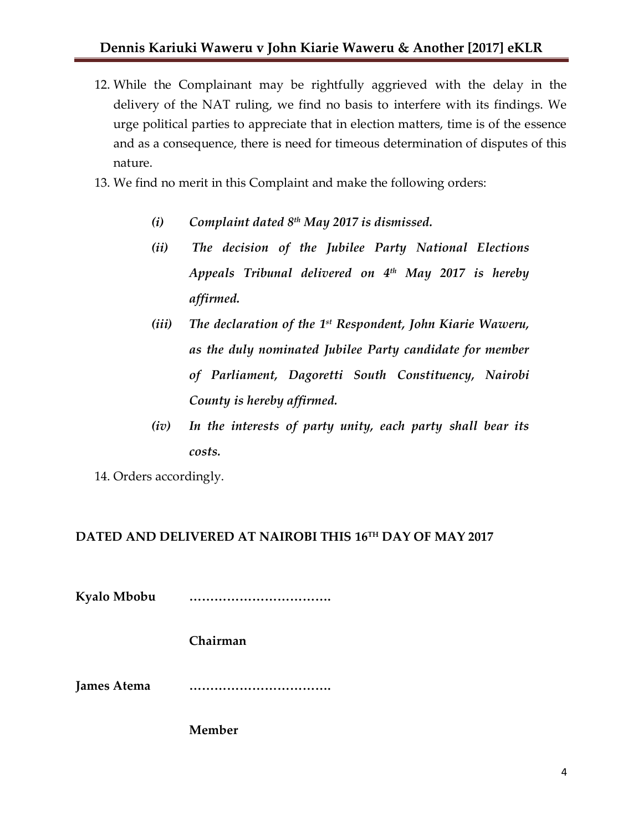- 12. While the Complainant may be rightfully aggrieved with the delay in the delivery of the NAT ruling, we find no basis to interfere with its findings. We urge political parties to appreciate that in election matters, time is of the essence and as a consequence, there is need for timeous determination of disputes of this nature.
- 13. We find no merit in this Complaint and make the following orders:
	- *(i) Complaint dated 8th May 2017 is dismissed.*
	- *(ii) The decision of the Jubilee Party National Elections Appeals Tribunal delivered on 4th May 2017 is hereby affirmed.*
	- *(iii) The declaration of the 1 st Respondent, John Kiarie Waweru, as the duly nominated Jubilee Party candidate for member of Parliament, Dagoretti South Constituency, Nairobi County is hereby affirmed.*
	- *(iv) In the interests of party unity, each party shall bear its costs.*

14. Orders accordingly.

### **DATED AND DELIVERED AT NAIROBI THIS 16TH DAY OF MAY 2017**

**Kyalo Mbobu …………………………….**

**Chairman**

**James Atema …………………………….**

**Member**